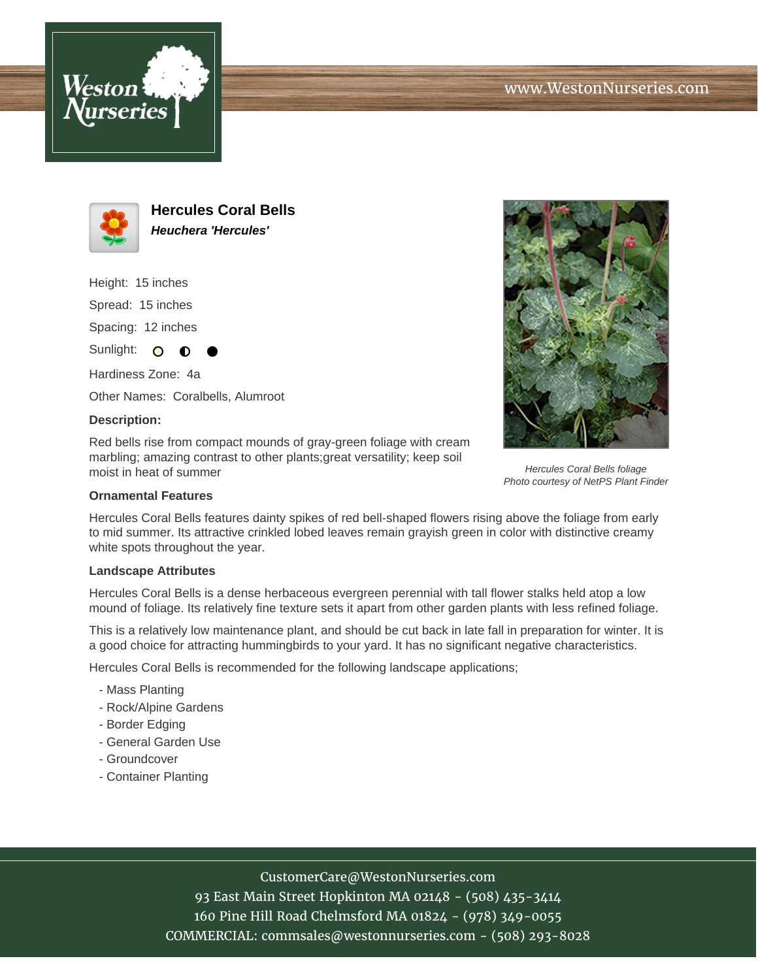



**Hercules Coral Bells Heuchera 'Hercules'**

Height: 15 inches Spread: 15 inches Spacing: 12 inches

Sunlight: O ∩

Hardiness Zone: 4a Other Names: Coralbells, Alumroot

### **Description:**

Red bells rise from compact mounds of gray-green foliage with cream marbling; amazing contrast to other plants;great versatility; keep soil moist in heat of summer

### **Ornamental Features**

Hercules Coral Bells features dainty spikes of red bell-shaped flowers rising above the foliage from early to mid summer. Its attractive crinkled lobed leaves remain grayish green in color with distinctive creamy white spots throughout the year.

#### **Landscape Attributes**

Hercules Coral Bells is a dense herbaceous evergreen perennial with tall flower stalks held atop a low mound of foliage. Its relatively fine texture sets it apart from other garden plants with less refined foliage.

This is a relatively low maintenance plant, and should be cut back in late fall in preparation for winter. It is a good choice for attracting hummingbirds to your yard. It has no significant negative characteristics.

Hercules Coral Bells is recommended for the following landscape applications;

- Mass Planting
- Rock/Alpine Gardens
- Border Edging
- General Garden Use
- Groundcover
- Container Planting

# CustomerCare@WestonNurseries.com

93 East Main Street Hopkinton MA 02148 - (508) 435-3414 160 Pine Hill Road Chelmsford MA 01824 - (978) 349-0055 COMMERCIAL: commsales@westonnurseries.com - (508) 293-8028



Hercules Coral Bells foliage Photo courtesy of NetPS Plant Finder